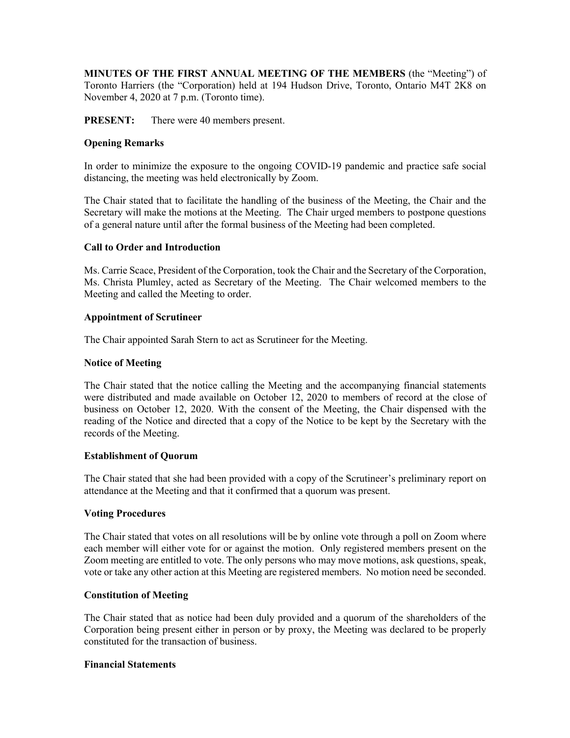**MINUTES OF THE FIRST ANNUAL MEETING OF THE MEMBERS** (the "Meeting") of Toronto Harriers (the "Corporation) held at 194 Hudson Drive, Toronto, Ontario M4T 2K8 on November 4, 2020 at 7 p.m. (Toronto time).

**PRESENT:** There were 40 members present.

# **Opening Remarks**

In order to minimize the exposure to the ongoing COVID-19 pandemic and practice safe social distancing, the meeting was held electronically by Zoom.

The Chair stated that to facilitate the handling of the business of the Meeting, the Chair and the Secretary will make the motions at the Meeting. The Chair urged members to postpone questions of a general nature until after the formal business of the Meeting had been completed.

## **Call to Order and Introduction**

Ms. Carrie Scace, President of the Corporation, took the Chair and the Secretary of the Corporation, Ms. Christa Plumley, acted as Secretary of the Meeting. The Chair welcomed members to the Meeting and called the Meeting to order.

## **Appointment of Scrutineer**

The Chair appointed Sarah Stern to act as Scrutineer for the Meeting.

## **Notice of Meeting**

The Chair stated that the notice calling the Meeting and the accompanying financial statements were distributed and made available on October 12, 2020 to members of record at the close of business on October 12, 2020. With the consent of the Meeting, the Chair dispensed with the reading of the Notice and directed that a copy of the Notice to be kept by the Secretary with the records of the Meeting.

## **Establishment of Quorum**

The Chair stated that she had been provided with a copy of the Scrutineer's preliminary report on attendance at the Meeting and that it confirmed that a quorum was present.

## **Voting Procedures**

The Chair stated that votes on all resolutions will be by online vote through a poll on Zoom where each member will either vote for or against the motion. Only registered members present on the Zoom meeting are entitled to vote. The only persons who may move motions, ask questions, speak, vote or take any other action at this Meeting are registered members. No motion need be seconded.

## **Constitution of Meeting**

The Chair stated that as notice had been duly provided and a quorum of the shareholders of the Corporation being present either in person or by proxy, the Meeting was declared to be properly constituted for the transaction of business.

#### **Financial Statements**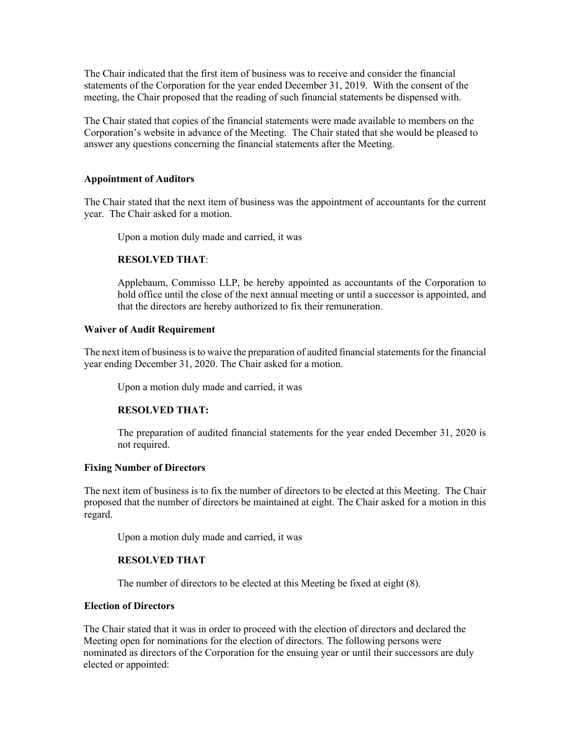The Chair indicated that the first item of business was to receive and consider the financial statements of the Corporation for the year ended December 31, 2019. With the consent of the meeting, the Chair proposed that the reading of such financial statements be dispensed with.

The Chair stated that copies of the financial statements were made available to members on the Corporation's website in advance of the Meeting. The Chair stated that she would be pleased to answer any questions concerning the financial statements after the Meeting.

## **Appointment of Auditors**

The Chair stated that the next item of business was the appointment of accountants for the current year. The Chair asked for a motion.

Upon a motion duly made and carried, it was

#### **RESOLVED THAT**:

Applebaum, Commisso LLP, be hereby appointed as accountants of the Corporation to hold office until the close of the next annual meeting or until a successor is appointed, and that the directors are hereby authorized to fix their remuneration.

#### **Waiver of Audit Requirement**

The next item of business is to waive the preparation of audited financial statements for the financial year ending December 31, 2020. The Chair asked for a motion.

Upon a motion duly made and carried, it was

## **RESOLVED THAT:**

The preparation of audited financial statements for the year ended December 31, 2020 is not required.

#### **Fixing Number of Directors**

The next item of business is to fix the number of directors to be elected at this Meeting. The Chair proposed that the number of directors be maintained at eight. The Chair asked for a motion in this regard.

Upon a motion duly made and carried, it was

## **RESOLVED THAT**

The number of directors to be elected at this Meeting be fixed at eight (8).

## **Election of Directors**

The Chair stated that it was in order to proceed with the election of directors and declared the Meeting open for nominations for the election of directors. The following persons were nominated as directors of the Corporation for the ensuing year or until their successors are duly elected or appointed: